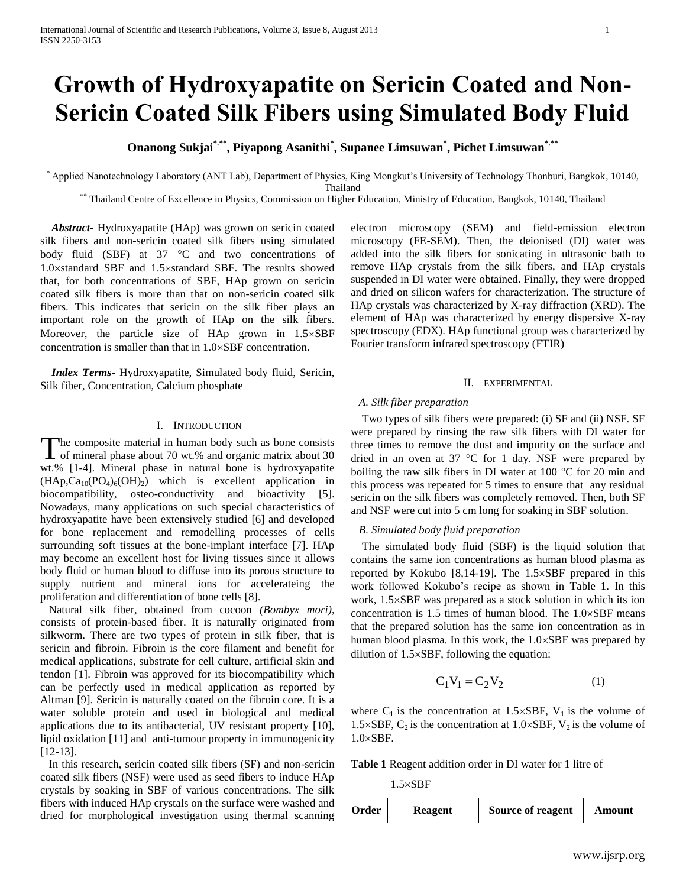# **Growth of Hydroxyapatite on Sericin Coated and Non-Sericin Coated Silk Fibers using Simulated Body Fluid**

**Onanong Sukjai\*.\*\* , Piyapong Asanithi\* , Supanee Limsuwan\* , Pichet Limsuwan\*.\*\***

\* Applied Nanotechnology Laboratory (ANT Lab), Department of Physics, King Mongkut's University of Technology Thonburi, Bangkok, 10140, Thailand

\*\* Thailand Centre of Excellence in Physics, Commission on Higher Education, Ministry of Education, Bangkok, 10140, Thailand

 *Abstract***-** Hydroxyapatite (HAp) was grown on sericin coated silk fibers and non-sericin coated silk fibers using simulated body fluid (SBF) at  $37 \text{ °C}$  and two concentrations of 1.0standard SBF and 1.5standard SBF. The results showed that, for both concentrations of SBF, HAp grown on sericin coated silk fibers is more than that on non-sericin coated silk fibers. This indicates that sericin on the silk fiber plays an important role on the growth of HAp on the silk fibers. Moreover, the particle size of HAp grown in  $1.5 \times SBF$ concentration is smaller than that in  $1.0 \times$ SBF concentration.

 *Index Terms*- Hydroxyapatite, Simulated body fluid, Sericin, Silk fiber, Concentration, Calcium phosphate

## I. INTRODUCTION

he composite material in human body such as bone consists The composite material in human body such as bone consists<br>of mineral phase about 70 wt.% and organic matrix about 30 wt.% [1-4]. Mineral phase in natural bone is hydroxyapatite  $(HAp, Ca<sub>10</sub>(PO<sub>4</sub>)<sub>6</sub>(OH)<sub>2</sub>)$  which is excellent application in biocompatibility, osteo-conductivity and bioactivity [5]. Nowadays, many applications on such special characteristics of hydroxyapatite have been extensively studied [6] and developed for bone replacement and remodelling processes of cells surrounding soft tissues at the bone-implant interface [7]. HAp may become an excellent host for living tissues since it allows body fluid or human blood to diffuse into its porous structure to supply nutrient and mineral ions for accelerateing the proliferation and differentiation of bone cells [8].

 Natural silk fiber, obtained from cocoon *(Bombyx mori)*, consists of protein-based fiber. It is naturally originated from silkworm. There are two types of protein in silk fiber, that is sericin and fibroin. Fibroin is the core filament and benefit for medical applications, substrate for cell culture, artificial skin and tendon [1]. Fibroin was approved for its biocompatibility which can be perfectly used in medical application as reported by Altman [9]. Sericin is naturally coated on the fibroin core. It is a water soluble protein and used in biological and medical applications due to its antibacterial, UV resistant property [10], lipid oxidation [11] and anti-tumour property in immunogenicity [12-13].

 In this research, sericin coated silk fibers (SF) and non-sericin coated silk fibers (NSF) were used as seed fibers to induce HAp crystals by soaking in SBF of various concentrations. The silk fibers with induced HAp crystals on the surface were washed and dried for morphological investigation using thermal scanning

electron microscopy (SEM) and field-emission electron microscopy (FE-SEM). Then, the deionised (DI) water was added into the silk fibers for sonicating in ultrasonic bath to remove HAp crystals from the silk fibers, and HAp crystals suspended in DI water were obtained. Finally, they were dropped and dried on silicon wafers for characterization. The structure of HAp crystals was characterized by X-ray diffraction (XRD). The element of HAp was characterized by energy dispersive X-ray spectroscopy (EDX). HAp functional group was characterized by Fourier transform infrared spectroscopy (FTIR)

## II. EXPERIMENTAL

# *A. Silk fiber preparation*

 Two types of silk fibers were prepared: (i) SF and (ii) NSF. SF were prepared by rinsing the raw silk fibers with DI water for three times to remove the dust and impurity on the surface and dried in an oven at 37  $\degree$ C for 1 day. NSF were prepared by boiling the raw silk fibers in DI water at 100  $^{\circ}$ C for 20 min and this process was repeated for 5 times to ensure that any residual sericin on the silk fibers was completely removed. Then, both SF and NSF were cut into 5 cm long for soaking in SBF solution.

## *B. Simulated body fluid preparation*

 The simulated body fluid (SBF) is the liquid solution that contains the same ion concentrations as human blood plasma as reported by Kokubo  $[8,14-19]$ . The  $1.5 \times$ SBF prepared in this work followed Kokubo's recipe as shown in Table 1. In this work,  $1.5 \times SBF$  was prepared as a stock solution in which its ion concentration is  $1.5$  times of human blood. The  $1.0 \times$ SBF means that the prepared solution has the same ion concentration as in human blood plasma. In this work, the  $1.0 \times$ SBF was prepared by dilution of  $1.5 \times$ SBF, following the equation:

$$
C_1 V_1 = C_2 V_2 \tag{1}
$$

where  $C_1$  is the concentration at 1.5×SBF,  $V_1$  is the volume of 1.5×SBF,  $C_2$  is the concentration at 1.0×SBF,  $V_2$  is the volume of  $1.0 \times$ SBF.

**Table 1** Reagent addition order in DI water for 1 litre of

 $1.5 \times$ SBF

**Order Reagent Source of reagent Amount**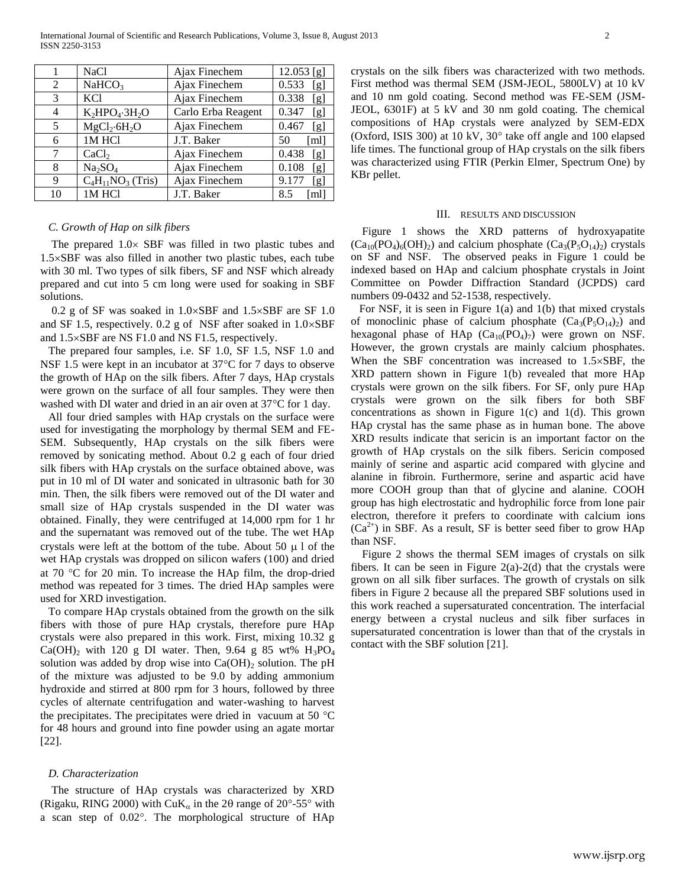International Journal of Scientific and Research Publications, Volume 3, Issue 8, August 2013 2 ISSN 2250-3153

|    | NaCl                            | Ajax Finechem      | $12.053$ [g] |
|----|---------------------------------|--------------------|--------------|
| 2  | NaHCO <sub>3</sub>              | Ajax Finechem      | 0.533<br>[g] |
| 3  | <b>KCl</b>                      | Ajax Finechem      | 0.338<br>[g] |
| 4  | $K_2HPO_4 \cdot 3H_2O$          | Carlo Erba Reagent | 0.347<br>[g] |
| 5  | $MgCl_2·6H_2O$                  | Ajax Finechem      | 0.467<br>[g] |
| 6  | 1M HCl                          | J.T. Baker         | [ml]<br>50   |
|    | CaCl <sub>2</sub>               | Ajax Finechem      | 0.438<br>[g] |
| 8  | Na <sub>2</sub> SO <sub>4</sub> | Ajax Finechem      | 0.108<br>[g] |
| 9  | $C_4H_{11}NO_3$ (Tris)          | Ajax Finechem      | 9.177<br>[g] |
| 10 | 1M HCl                          | J.T. Baker         | 8.5<br>[ml]  |

## *C. Growth of Hap on silk fibers*

The prepared  $1.0 \times$  SBF was filled in two plastic tubes and 1.5SBF was also filled in another two plastic tubes, each tube with 30 ml. Two types of silk fibers, SF and NSF which already prepared and cut into 5 cm long were used for soaking in SBF solutions.

0.2 g of SF was soaked in  $1.0 \times$ SBF and  $1.5 \times$ SBF are SF 1.0 and SF 1.5, respectively. 0.2 g of NSF after soaked in  $1.0 \times$ SBF and  $1.5 \times$ SBF are NS F1.0 and NS F1.5, respectively.

The prepared four samples, i.e. SF 1.0, SF 1.5, NSF 1.0 and NSF 1.5 were kept in an incubator at  $37^{\circ}$ C for 7 days to observe the growth of HAp on the silk fibers. After 7 days, HAp crystals were grown on the surface of all four samples. They were then washed with DI water and dried in an air oven at  $37^{\circ}$ C for 1 day.

All four dried samples with HAp crystals on the surface were used for investigating the morphology by thermal SEM and FE-SEM. Subsequently, HAp crystals on the silk fibers were removed by sonicating method. About 0.2 g each of four dried silk fibers with HAp crystals on the surface obtained above, was put in 10 ml of DI water and sonicated in ultrasonic bath for 30 min. Then, the silk fibers were removed out of the DI water and small size of HAp crystals suspended in the DI water was obtained. Finally, they were centrifuged at 14,000 rpm for 1 hr and the supernatant was removed out of the tube. The wet HAp crystals were left at the bottom of the tube. About 50  $\mu$  l of the wet HAp crystals was dropped on silicon wafers (100) and dried at 70  $\degree$ C for 20 min. To increase the HAp film, the drop-dried method was repeated for 3 times. The dried HAp samples were used for XRD investigation.

To compare HAp crystals obtained from the growth on the silk fibers with those of pure HAp crystals, therefore pure HAp crystals were also prepared in this work. First, mixing 10.32 g  $Ca(OH)_2$  with 120 g DI water. Then, 9.64 g 85 wt%  $H_3PO_4$ solution was added by drop wise into  $Ca(OH)_2$  solution. The pH of the mixture was adjusted to be 9.0 by adding ammonium hydroxide and stirred at 800 rpm for 3 hours, followed by three cycles of alternate centrifugation and water-washing to harvest the precipitates. The precipitates were dried in vacuum at 50  $^{\circ}$ C for 48 hours and ground into fine powder using an agate mortar [22].

## *D. Characterization*

 The structure of HAp crystals was characterized by XRD (Rigaku, RING 2000) with CuK<sub>a</sub> in the 20 range of 20°-55° with a scan step of 0.02°. The morphological structure of HAp

crystals on the silk fibers was characterized with two methods. First method was thermal SEM (JSM-JEOL, 5800LV) at 10 kV and 10 nm gold coating. Second method was FE-SEM (JSM-JEOL, 6301F) at 5 kV and 30 nm gold coating. The chemical compositions of HAp crystals were analyzed by SEM-EDX (Oxford, ISIS 300) at 10 kV,  $30^{\circ}$  take off angle and 100 elapsed life times. The functional group of HAp crystals on the silk fibers was characterized using FTIR (Perkin Elmer, Spectrum One) by KBr pellet.

#### III. RESULTS AND DISCUSSION

 Figure 1 shows the XRD patterns of hydroxyapatite  $(Ca_{10}(PO_4)_6(OH)_2)$  and calcium phosphate  $(Ca_3(Po_1)_2)$  crystals on SF and NSF. The observed peaks in Figure 1 could be indexed based on HAp and calcium phosphate crystals in Joint Committee on Powder Diffraction Standard (JCPDS) card numbers 09-0432 and 52-1538, respectively.

 For NSF, it is seen in Figure 1(a) and 1(b) that mixed crystals of monoclinic phase of calcium phosphate  $(Ca_3(P_5O_{14})_2)$  and hexagonal phase of HAp  $(Ca_{10}(PO_4)_7)$  were grown on NSF. However, the grown crystals are mainly calcium phosphates. When the SBF concentration was increased to  $1.5 \times$ SBF, the XRD pattern shown in Figure 1(b) revealed that more HAp crystals were grown on the silk fibers. For SF, only pure HAp crystals were grown on the silk fibers for both SBF concentrations as shown in Figure 1(c) and 1(d). This grown HAp crystal has the same phase as in human bone. The above XRD results indicate that sericin is an important factor on the growth of HAp crystals on the silk fibers. Sericin composed mainly of serine and aspartic acid compared with glycine and alanine in fibroin. Furthermore, serine and aspartic acid have more COOH group than that of glycine and alanine. COOH group has high electrostatic and hydrophilic force from lone pair electron, therefore it prefers to coordinate with calcium ions  $(Ca^{2+})$  in SBF. As a result, SF is better seed fiber to grow HAp than NSF.

 Figure 2 shows the thermal SEM images of crystals on silk fibers. It can be seen in Figure  $2(a)-2(d)$  that the crystals were grown on all silk fiber surfaces. The growth of crystals on silk fibers in Figure 2 because all the prepared SBF solutions used in this work reached a supersaturated concentration. The interfacial energy between a crystal nucleus and silk fiber surfaces in supersaturated concentration is lower than that of the crystals in contact with the SBF solution [21].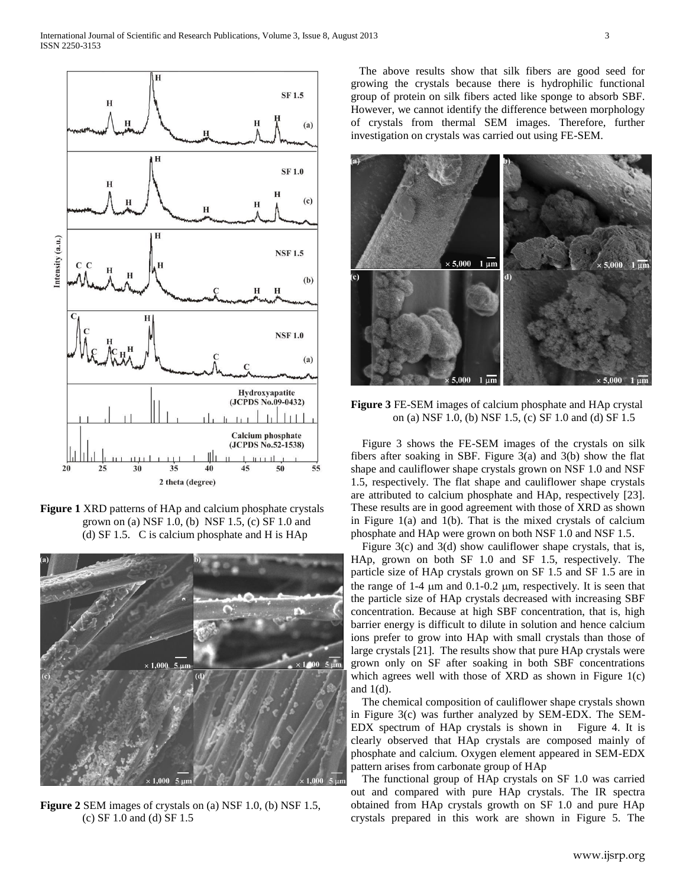

**Figure 1** XRD patterns of HAp and calcium phosphate crystals grown on (a) NSF 1.0, (b) NSF 1.5, (c) SF 1.0 and (d) SF 1.5. C is calcium phosphate and H is HAp



**Figure 2** SEM images of crystals on (a) NSF 1.0, (b) NSF 1.5, (c) SF 1.0 and (d) SF 1.5

 The above results show that silk fibers are good seed for growing the crystals because there is hydrophilic functional group of protein on silk fibers acted like sponge to absorb SBF. However, we cannot identify the difference between morphology of crystals from thermal SEM images. Therefore, further investigation on crystals was carried out using FE-SEM.



**Figure 3** FE-SEM images of calcium phosphate and HAp crystal on (a) NSF 1.0, (b) NSF 1.5, (c) SF 1.0 and (d) SF 1.5

 Figure 3 shows the FE-SEM images of the crystals on silk fibers after soaking in SBF. Figure 3(a) and 3(b) show the flat shape and cauliflower shape crystals grown on NSF 1.0 and NSF 1.5, respectively. The flat shape and cauliflower shape crystals are attributed to calcium phosphate and HAp, respectively [23]. These results are in good agreement with those of XRD as shown in Figure 1(a) and 1(b). That is the mixed crystals of calcium phosphate and HAp were grown on both NSF 1.0 and NSF 1.5.

Figure 3(c) and 3(d) show cauliflower shape crystals, that is, HAp, grown on both SF 1.0 and SF 1.5, respectively. The particle size of HAp crystals grown on SF 1.5 and SF 1.5 are in the range of  $1-4 \mu m$  and  $0.1-0.2 \mu m$ , respectively. It is seen that the particle size of HAp crystals decreased with increasing SBF concentration. Because at high SBF concentration, that is, high barrier energy is difficult to dilute in solution and hence calcium ions prefer to grow into HAp with small crystals than those of large crystals [21]. The results show that pure HAp crystals were grown only on SF after soaking in both SBF concentrations which agrees well with those of XRD as shown in Figure 1(c) and  $1(d)$ .

 The chemical composition of cauliflower shape crystals shown in Figure 3(c) was further analyzed by SEM-EDX. The SEM-EDX spectrum of HAp crystals is shown in Figure 4. It is clearly observed that HAp crystals are composed mainly of phosphate and calcium. Oxygen element appeared in SEM-EDX pattern arises from carbonate group of HAp

 The functional group of HAp crystals on SF 1.0 was carried out and compared with pure HAp crystals. The IR spectra obtained from HAp crystals growth on SF 1.0 and pure HAp crystals prepared in this work are shown in Figure 5. The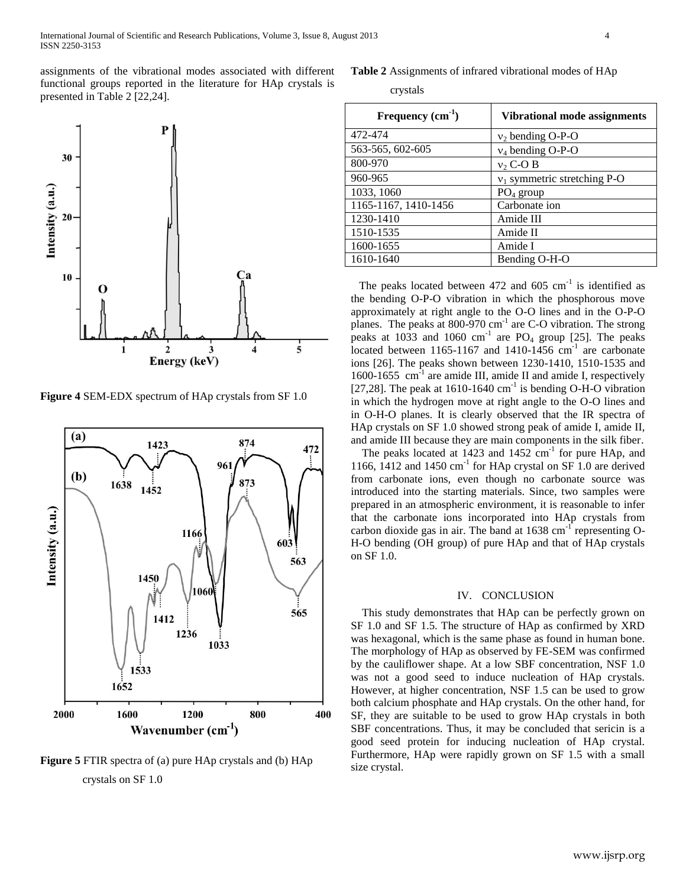assignments of the vibrational modes associated with different functional groups reported in the literature for HAp crystals is presented in Table 2 [22,24].



**Figure 4** SEM-EDX spectrum of HAp crystals from SF 1.0



**Figure 5** FTIR spectra of (a) pure HAp crystals and (b) HAp crystals on SF 1.0

**Table 2** Assignments of infrared vibrational modes of HAp

crystals

| Frequency $(cm1)$    | Vibrational mode assignments   |  |
|----------------------|--------------------------------|--|
| 472-474              | $v_2$ bending O-P-O            |  |
| 563-565, 602-605     | $v_4$ bending O-P-O            |  |
| 800-970              | $v_2$ C-O B                    |  |
| 960-965              | $v_1$ symmetric stretching P-O |  |
| 1033, 1060           | $PO4$ group                    |  |
| 1165-1167, 1410-1456 | Carbonate ion                  |  |
| 1230-1410            | Amide III                      |  |
| 1510-1535            | Amide II                       |  |
| 1600-1655            | Amide I                        |  |
| 1610-1640            | Bending O-H-O                  |  |

The peaks located between  $472$  and  $605 \text{ cm}^{-1}$  is identified as the bending O-P-O vibration in which the phosphorous move approximately at right angle to the O-O lines and in the O-P-O planes. The peaks at 800-970 cm<sup>-1</sup> are C-O vibration. The strong peaks at  $1033$  and  $1060$  cm<sup>-1</sup> are PO<sub>4</sub> group [25]. The peaks located between 1165-1167 and 1410-1456  $cm^{-1}$  are carbonate ions [26]. The peaks shown between 1230-1410, 1510-1535 and 1600-1655  $\text{cm}^{-1}$  are amide III, amide II and amide I, respectively [27,28]. The peak at  $1610-1640$  cm<sup>-1</sup> is bending O-H-O vibration in which the hydrogen move at right angle to the O-O lines and in O-H-O planes. It is clearly observed that the IR spectra of HAp crystals on SF 1.0 showed strong peak of amide I, amide II, and amide III because they are main components in the silk fiber.

The peaks located at  $1423$  and  $1452 \text{ cm}^{-1}$  for pure HAp, and 1166, 1412 and 1450 cm<sup>-1</sup> for HAp crystal on SF 1.0 are derived from carbonate ions, even though no carbonate source was introduced into the starting materials. Since, two samples were prepared in an atmospheric environment, it is reasonable to infer that the carbonate ions incorporated into HAp crystals from carbon dioxide gas in air. The band at  $1638 \text{ cm}^{-1}$  representing O-H-O bending (OH group) of pure HAp and that of HAp crystals on SF 1.0.

#### IV. CONCLUSION

 This study demonstrates that HAp can be perfectly grown on SF 1.0 and SF 1.5. The structure of HAp as confirmed by XRD was hexagonal, which is the same phase as found in human bone. The morphology of HAp as observed by FE-SEM was confirmed by the cauliflower shape. At a low SBF concentration, NSF 1.0 was not a good seed to induce nucleation of HAp crystals. However, at higher concentration, NSF 1.5 can be used to grow both calcium phosphate and HAp crystals. On the other hand, for SF, they are suitable to be used to grow HAp crystals in both SBF concentrations. Thus, it may be concluded that sericin is a good seed protein for inducing nucleation of HAp crystal. Furthermore, HAp were rapidly grown on SF 1.5 with a small size crystal.